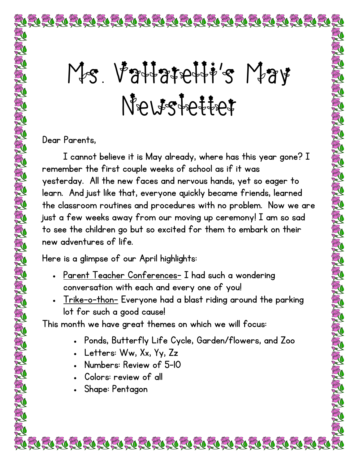## Ms. Vattatetti's May Newstetter

NAIS REAL AND THE REAL AND REAL AND THE REAL AND THE REAL

Dear Parents,

I cannot believe it is May already, where has this year gone? I remember the first couple weeks of school as if it was yesterday. All the new faces and nervous hands, yet so eager to learn. And just like that, everyone quickly became friends, learned the classroom routines and procedures with no problem. Now we are just a few weeks away from our moving up ceremony! I am so sad to see the children go but so excited for them to embark on their new adventures of life.

Here is a glimpse of our April highlights:

- Parent Teacher Conferences- I had such a wondering conversation with each and every one of you!
- Trike-o-thon- Everyone had a blast riding around the parking lot for such a good cause!

This month we have great themes on which we will focus:

• Ponds, Butterfly Life Cycle, Garden/flowers, and Zoo

- Letters: Ww, Xx, Yy, Zz
- Numbers: Review of 5-10
- Colors: review of all
- Shape: Pentagon